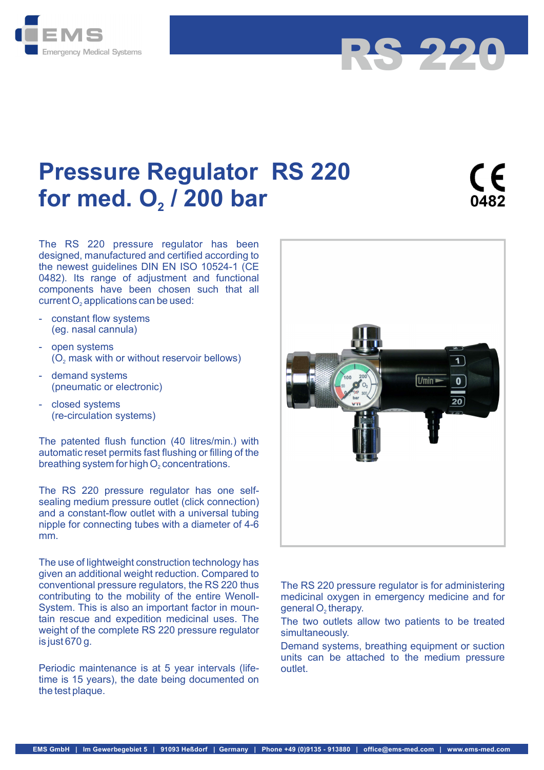



RS 220

The RS 220 pressure regulator has been designed, manufactured and certified according to the newest guidelines DIN EN ISO 10524-1 (CE 0482). Its range of adjustment and functional components have been chosen such that all

- constant flow systems (eg. nasal cannula)
- open systems
- demand systems (pneumatic or electronic)
- closed systems (re-circulation systems)

The patented flush function (40 litres/min.) with automatic reset permits fast flushing or filling of the

The RS 220 pressure regulator has one selfsealing medium pressure outlet (click connection) and a constant-flow outlet with a universal tubing nipple for connecting tubes with a diameter of 4-6 mm.

The use of lightweight construction technology has given an additional weight reduction. Compared to conventional pressure regulators, the RS 220 thus contributing to the mobility of the entire Wenoll-System. This is also an important factor in mountain rescue and expedition medicinal uses. The The two outlets allow two patients to be treated weight of the complete RS 220 pressure regulator is just 670 g.

Periodic maintenance is at 5 year intervals (lifetime is 15 years), the date being documented on the test plaque.



The RS 220 pressure regulator is for administering medicinal oxygen in emergency medicine and for

simultaneously.

Demand systems, breathing equipment or suction units can be attached to the medium pressure outlet.